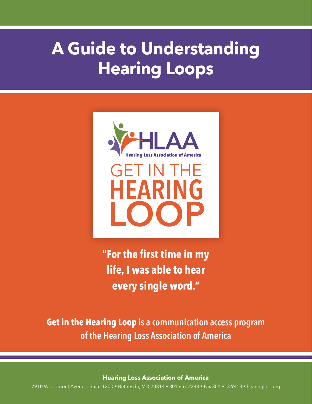# **A Guide to Understanding Hearing Loops**



**"For the first time in my life, I was able to hear every single word."**

**Get in the Hearing Loop is a communication access program of the Hearing Loss Association of America**

**Hearing Loss Association of America** 

7910 Woodmont Avenue, Suite 1200 • Bethesda, MD 20814 • 301.657.2248 • Fax 301.913.9413 • hearingloss.org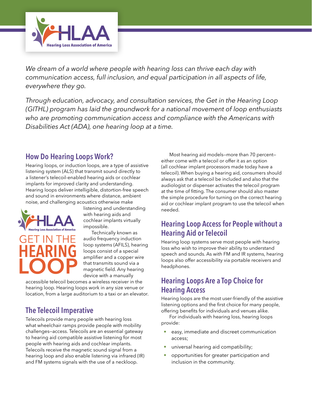

*We dream of a world where people with hearing loss can thrive each day with communication access, full inclusion, and equal participation in all aspects of life, everywhere they go.*

*Through education, advocacy, and consultation services, the Get in the Hearing Loop (GITHL) program has laid the groundwork for a national movement of loop enthusiasts who are promoting communication access and compliance with the Americans with Disabilities Act (ADA), one hearing loop at a time.* 

#### **How Do Hearing Loops Work?**

Hearing loops, or induction loops, are a type of assistive listening system (ALS) that transmit sound directly to a listener's telecoil-enabled hearing aids or cochlear implants for improved clarity and understanding. Hearing loops deliver intelligible, distortion-free speech and sound in environments where distance, ambient noise, and challenging acoustics otherwise make



listening and understanding with hearing aids and cochlear implants virtually impossible.

Technically known as audio frequency induction loop systems (AFILS), hearing loops consist of a special amplifier and a copper wire that transmits sound via a magnetic field. Any hearing device with a manually

accessible telecoil becomes a wireless receiver in the hearing loop. Hearing loops work in any size venue or location, from a large auditorium to a taxi or an elevator.

## **The Telecoil Imperative**

Telecoils provide many people with hearing loss what wheelchair ramps provide people with mobility challenges—access. Telecoils are an essential gateway to hearing aid compatible assistive listening for most people with hearing aids and cochlear implants. Telecoils receive the magnetic sound signal from a hearing loop and also enable listening via infrared (IR) and FM systems signals with the use of a neckloop.

Most hearing aid models—more than 70 percent either come with a telecoil or offer it as an option (all cochlear implant processors made today have a telecoil). When buying a hearing aid, consumers should always ask that a telecoil be included and also that the audiologist or dispenser activates the telecoil program at the time of fitting. The consumer should also master the simple procedure for turning on the correct hearing aid or cochlear implant program to use the telecoil when needed.

#### **Hearing Loop Access for People without a Hearing Aid or Telecoil**

Hearing loop systems serve most people with hearing loss who wish to improve their ability to understand speech and sounds. As with FM and IR systems, hearing loops also offer accessibility via portable receivers and headphones.

#### **Hearing Loops Are a Top Choice for Hearing Access**

Hearing loops are the most user-friendly of the assistive listening options and the first choice for many people, offering benefits for individuals and venues alike.

For individuals with hearing loss, hearing loops provide:

- easy, immediate and discreet communication access;
- universal hearing aid compatibility;
- opportunities for greater participation and inclusion in the community.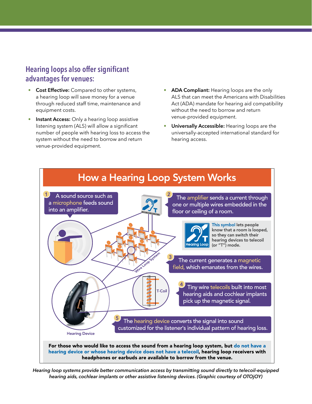### **Hearing loops also offer significant advantages for venues:**

- **Cost Effective:** Compared to other systems, a hearing loop will save money for a venue through reduced staff time, maintenance and equipment costs.
- **Instant Access:** Only a hearing loop assistive listening system (ALS) will allow a significant number of people with hearing loss to access the system without the need to borrow and return venue-provided equipment.
- **ADA Compliant:** Hearing loops are the only ALS that can meet the Americans with Disabilities Act (ADA) mandate for hearing aid compatibility without the need to borrow and return venue-provided equipment.
- **Universally Accessible:** Hearing loops are the universally-accepted international standard for hearing access.



*Hearing loop systems provide better communication access by transmitting sound directly to telecoil-equipped hearing aids, cochlear implants or other assistive listening devices. (Graphic courtesy of OTOjOY)*